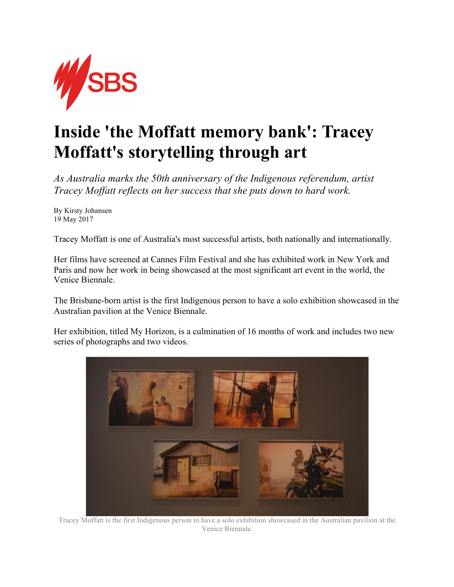

## **Inside 'the Moffatt memory bank': Tracey Moffatt's storytelling through art**

*As Australia marks the 50th anniversary of the Indigenous referendum, artist Tracey Moffatt reflects on her success that she puts down to hard work.* 

By Kirsty Johansen 19 May 2017

Tracey Moffatt is one of Australia's most successful artists, both nationally and internationally.

Her films have screened at Cannes Film Festival and she has exhibited work in New York and Paris and now her work in being showcased at the most significant art event in the world, the Venice Biennale.

The Brisbane-born artist is the first Indigenous person to have a solo exhibition showcased in the Australian pavilion at the Venice Biennale.

Her exhibition, titled My Horizon, is a culmination of 16 months of work and includes two new series of photographs and two videos.



Tracey Moffatt is the first Indigenous person to have a solo exhibition showcased in the Australian pavilion at the Venice Biennale.